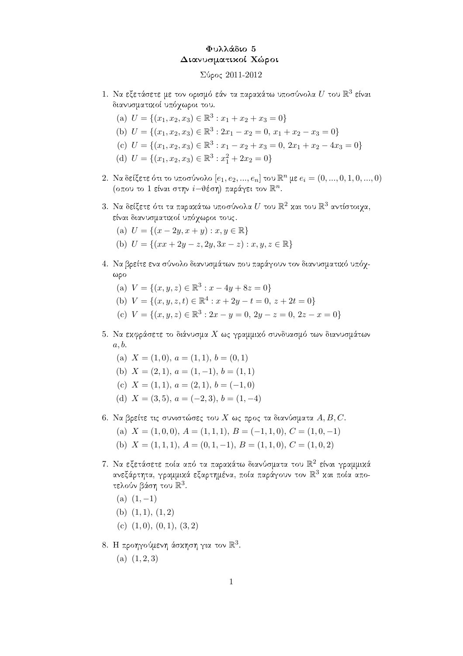## Φυλλάδιο 5 Διανυσματικοί Χώροι

## $\Sigma$ ύρος 2011-2012

- 1. Να εξετάσετε με τον ορισμό εάν τα παρακάτω υποσύνολα  $U$  του  $\mathbb{R}^3$  είναι διανυσματικοί υπόχωροι του
	- (a)  $U = \{(x_1, x_2, x_3) \in \mathbb{R}^3 : x_1 + x_2 + x_3 = 0\}$
	- (b)  $U = \{(x_1, x_2, x_3) \in \mathbb{R}^3 : 2x_1 x_2 = 0, x_1 + x_2 x_3 = 0\}$
	- (c)  $U = \{(x_1, x_2, x_3) \in \mathbb{R}^3 : x_1 x_2 + x_3 = 0, 2x_1 + x_2 4x_3 = 0\}$
	- (d)  $U = \{(x_1, x_2, x_3) \in \mathbb{R}^3 : x_1^2 + 2x_2 = 0\}$
- 2. Να δείξετε ότι το υποσύνολο  $[e_1, e_2, ..., e_n]$  του  $\mathbb{R}^n$  με  $e_i = (0, ..., 0, 1, 0, ..., 0)$ (οπου το 1 είναι στην  $i$ -θέση) παράγει τον  $\mathbb{R}^n$ .
- 3. Να δείξετε ότι τα παρακάτω υποσύνολα  $U$  του  $\mathbb{R}^2$  και του  $\mathbb{R}^3$  αντίστοιχα, είναι διανυσματικοί υπόχωροι τους.
	- (a)  $U = \{(x 2y, x + y) : x, y \in \mathbb{R}\}\$
	- (b)  $U = \{(xx + 2y z, 2y, 3x z) : x, y, z \in \mathbb{R}\}\$
- 4. Να βρείτε ενα σύνολο διανυσμάτων που παράγουν τον διανυσματικό υπόγ- $\omega$ po
	- (a)  $V = \{(x, y, z) \in \mathbb{R}^3 : x 4y + 8z = 0\}$
	- (b)  $V = \{(x, y, z, t) \in \mathbb{R}^4 : x + 2y t = 0, z + 2t = 0\}$
	- (c)  $V = \{(x, y, z) \in \mathbb{R}^3 : 2x y = 0, 2y z = 0, 2z x = 0\}$
- 5. Να εκφράσετε το διάνυσμα Χ ως γραμμικό συνδυασμό των διανυσμάτων  $a, b.$ 
	- (a)  $X = (1,0), a = (1,1), b = (0,1)$
	- (b)  $X = (2, 1), a = (1, -1), b = (1, 1)$
	- (c)  $X = (1, 1), a = (2, 1), b = (-1, 0)$
	- (d)  $X = (3,5), a = (-2,3), b = (1,-4)$
- 6. Να βρείτε τις συνιστώσες του  $X$  ως προς τα διανύσματα  $A, B, C.$ 
	- (a)  $X = (1,0,0), A = (1,1,1), B = (-1,1,0), C = (1,0,-1)$
	- (b)  $X = (1, 1, 1), A = (0, 1, -1), B = (1, 1, 0), C = (1, 0, 2)$
- 7. Να εξετάσετε ποία από τα παρακάτω διανύσματα του  $\mathbb{R}^2$  είναι γραμμικά ανεξάρτητα, γραμμιχά εξαρτημένα, ποία παράγουν τον  $\mathbb{R}^3$  χαι ποία αποτελούν βάση του  $\mathbb{R}^3$ .
	- (a)  $(1, -1)$
	- (b)  $(1,1), (1,2)$
	- (c)  $(1,0), (0,1), (3,2)$
- 8. Η προηγούμενη άσκηση για τον  $\mathbb{R}^3$ .
	- (a)  $(1, 2, 3)$